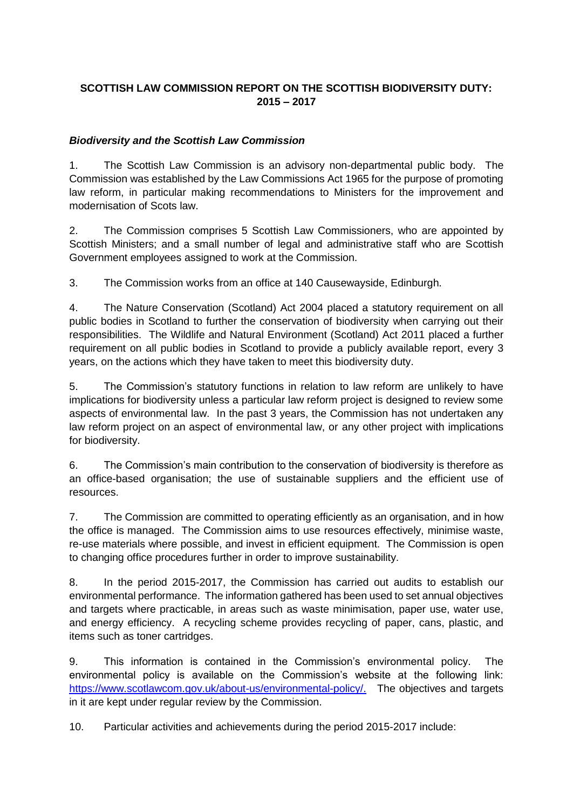## **SCOTTISH LAW COMMISSION REPORT ON THE SCOTTISH BIODIVERSITY DUTY: 2015 – 2017**

## *Biodiversity and the Scottish Law Commission*

1. The Scottish Law Commission is an advisory non-departmental public body. The Commission was established by the Law Commissions Act 1965 for the purpose of promoting law reform, in particular making recommendations to Ministers for the improvement and modernisation of Scots law.

2. The Commission comprises 5 Scottish Law Commissioners, who are appointed by Scottish Ministers; and a small number of legal and administrative staff who are Scottish Government employees assigned to work at the Commission.

3. The Commission works from an office at 140 Causewayside, Edinburgh.

4. The Nature Conservation (Scotland) Act 2004 placed a statutory requirement on all public bodies in Scotland to further the conservation of biodiversity when carrying out their responsibilities. The Wildlife and Natural Environment (Scotland) Act 2011 placed a further requirement on all public bodies in Scotland to provide a publicly available report, every 3 years, on the actions which they have taken to meet this biodiversity duty.

5. The Commission's statutory functions in relation to law reform are unlikely to have implications for biodiversity unless a particular law reform project is designed to review some aspects of environmental law. In the past 3 years, the Commission has not undertaken any law reform project on an aspect of environmental law, or any other project with implications for biodiversity.

6. The Commission's main contribution to the conservation of biodiversity is therefore as an office-based organisation; the use of sustainable suppliers and the efficient use of resources.

7. The Commission are committed to operating efficiently as an organisation, and in how the office is managed. The Commission aims to use resources effectively, minimise waste, re-use materials where possible, and invest in efficient equipment. The Commission is open to changing office procedures further in order to improve sustainability.

8. In the period 2015-2017, the Commission has carried out audits to establish our environmental performance. The information gathered has been used to set annual objectives and targets where practicable, in areas such as waste minimisation, paper use, water use, and energy efficiency. A recycling scheme provides recycling of paper, cans, plastic, and items such as toner cartridges.

9. This information is contained in the Commission's environmental policy. The environmental policy is available on the Commission's website at the following link: [https://www.scotlawcom.gov.uk/about-us/environmental-policy/.](https://www.scotlawcom.gov.uk/about-us/environmental-policy/) The objectives and targets in it are kept under regular review by the Commission.

10. Particular activities and achievements during the period 2015-2017 include: